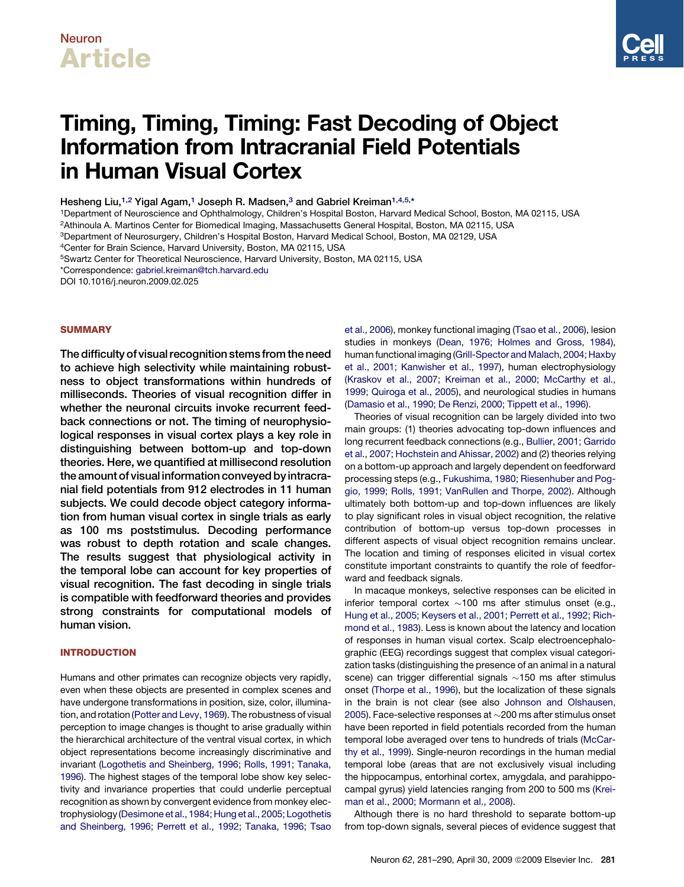# Neuron Article



# Timing, Timing, Timing: Fast Decoding of Object Information from Intracranial Field Potentials in Human Visual Cortex

Hesheng Liu,<sup>1,2</sup> Yigal Agam,<sup>1</sup> Joseph R. Madsen,<sup>3</sup> and Gabriel Kreiman<sup>1,4,5,\*</sup>

1Department of Neuroscience and Ophthalmology, Children's Hospital Boston, Harvard Medical School, Boston, MA 02115, USA 2Athinoula A. Martinos Center for Biomedical Imaging, Massachusetts General Hospital, Boston, MA 02115, USA

3Department of Neurosurgery, Children's Hospital Boston, Harvard Medical School, Boston, MA 02129, USA

4Center for Brain Science, Harvard University, Boston, MA 02115, USA

5Swartz Center for Theoretical Neuroscience, Harvard University, Boston, MA 02115, USA

\*Correspondence: [gabriel.kreiman@tch.harvard.edu](mailto:gabriel.kreiman@tch.harvard.edu)

DOI 10.1016/j.neuron.2009.02.025

### **SUMMARY**

The difficulty of visual recognition stems from the need to achieve high selectivity while maintaining robustness to object transformations within hundreds of milliseconds. Theories of visual recognition differ in whether the neuronal circuits invoke recurrent feedback connections or not. The timing of neurophysiological responses in visual cortex plays a key role in distinguishing between bottom-up and top-down theories. Here, we quantified at millisecond resolution the amount of visual information conveyed by intracranial field potentials from 912 electrodes in 11 human subjects. We could decode object category information from human visual cortex in single trials as early as 100 ms poststimulus. Decoding performance was robust to depth rotation and scale changes. The results suggest that physiological activity in the temporal lobe can account for key properties of visual recognition. The fast decoding in single trials is compatible with feedforward theories and provides strong constraints for computational models of human vision.

### INTRODUCTION

Humans and other primates can recognize objects very rapidly, even when these objects are presented in complex scenes and have undergone transformations in position, size, color, illumination, and rotation [\(Potter and Levy, 1969](#page-9-0)). The robustness of visual perception to image changes is thought to arise gradually within the hierarchical architecture of the ventral visual cortex, in which object representations become increasingly discriminative and invariant ([Logothetis and Sheinberg, 1996; Rolls, 1991; Tanaka,](#page-9-0) [1996\)](#page-9-0). The highest stages of the temporal lobe show key selectivity and invariance properties that could underlie perceptual recognition as shown by convergent evidence from monkey electrophysiology([Desimoneet al., 1984; Hung etal., 2005; Logothetis](#page-9-0) [and Sheinberg, 1996; Perrett et al., 1992; Tanaka, 1996; Tsao](#page-9-0) [et al., 2006\)](#page-9-0), monkey functional imaging [\(Tsao et al., 2006](#page-9-0)), lesion studies in monkeys [\(Dean, 1976; Holmes and Gross, 1984\)](#page-9-0), human functional imaging ([Grill-Spector and Malach, 2004; Haxby](#page-9-0) [et al., 2001; Kanwisher et al., 1997](#page-9-0)), human electrophysiology [\(Kraskov et al., 2007; Kreiman et al., 2000; McCarthy et al.,](#page-9-0) [1999; Quiroga et al., 2005](#page-9-0)), and neurological studies in humans [\(Damasio et al., 1990; De Renzi, 2000; Tippett et al., 1996\)](#page-8-0).

Theories of visual recognition can be largely divided into two main groups: (1) theories advocating top-down influences and long recurrent feedback connections (e.g., [Bullier, 2001; Garrido](#page-8-0) [et al., 2007; Hochstein and Ahissar, 2002\)](#page-8-0) and (2) theories relying on a bottom-up approach and largely dependent on feedforward processing steps (e.g., [Fukushima, 1980; Riesenhuber and Pog](#page-9-0)[gio, 1999; Rolls, 1991; VanRullen and Thorpe, 2002](#page-9-0)). Although ultimately both bottom-up and top-down influences are likely to play significant roles in visual object recognition, the relative contribution of bottom-up versus top-down processes in different aspects of visual object recognition remains unclear. The location and timing of responses elicited in visual cortex constitute important constraints to quantify the role of feedforward and feedback signals.

In macaque monkeys, selective responses can be elicited in inferior temporal cortex  $\sim$ 100 ms after stimulus onset (e.g., [Hung et al., 2005; Keysers et al., 2001; Perrett et al., 1992; Rich](#page-9-0)[mond et al., 1983](#page-9-0)). Less is known about the latency and location of responses in human visual cortex. Scalp electroencephalographic (EEG) recordings suggest that complex visual categorization tasks (distinguishing the presence of an animal in a natural scene) can trigger differential signals  $\sim$ 150 ms after stimulus onset [\(Thorpe et al., 1996\)](#page-9-0), but the localization of these signals in the brain is not clear (see also [Johnson and Olshausen,](#page-9-0) [2005\)](#page-9-0). Face-selective responses at  $\sim$ 200 ms after stimulus onset have been reported in field potentials recorded from the human temporal lobe averaged over tens to hundreds of trials [\(McCar](#page-9-0)[thy et al., 1999\)](#page-9-0). Single-neuron recordings in the human medial temporal lobe (areas that are not exclusively visual including the hippocampus, entorhinal cortex, amygdala, and parahippocampal gyrus) yield latencies ranging from 200 to 500 ms [\(Krei](#page-9-0)[man et al., 2000; Mormann et al., 2008](#page-9-0)).

Although there is no hard threshold to separate bottom-up from top-down signals, several pieces of evidence suggest that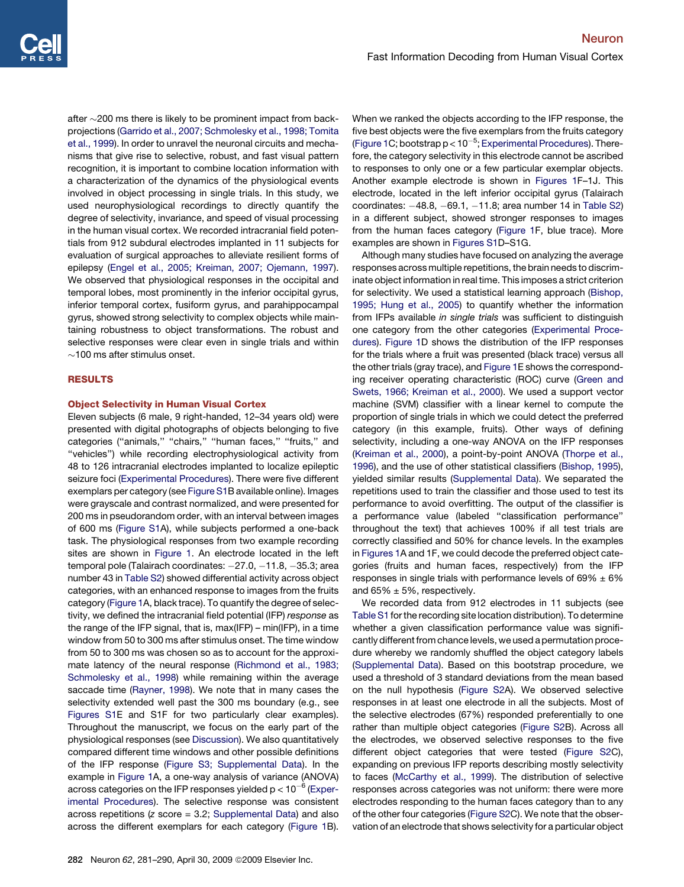<span id="page-1-0"></span>after  $\sim$ 200 ms there is likely to be prominent impact from backprojections ([Garrido et al., 2007; Schmolesky et al., 1998; Tomita](#page-9-0) [et al., 1999\)](#page-9-0). In order to unravel the neuronal circuits and mechanisms that give rise to selective, robust, and fast visual pattern recognition, it is important to combine location information with a characterization of the dynamics of the physiological events involved in object processing in single trials. In this study, we used neurophysiological recordings to directly quantify the degree of selectivity, invariance, and speed of visual processing in the human visual cortex. We recorded intracranial field potentials from 912 subdural electrodes implanted in 11 subjects for evaluation of surgical approaches to alleviate resilient forms of epilepsy [\(Engel et al., 2005; Kreiman, 2007; Ojemann, 1997](#page-9-0)). We observed that physiological responses in the occipital and temporal lobes, most prominently in the inferior occipital gyrus, inferior temporal cortex, fusiform gyrus, and parahippocampal gyrus, showed strong selectivity to complex objects while maintaining robustness to object transformations. The robust and selective responses were clear even in single trials and within  $\sim$ 100 ms after stimulus onset.

### RESULTS

### Object Selectivity in Human Visual Cortex

Eleven subjects (6 male, 9 right-handed, 12–34 years old) were presented with digital photographs of objects belonging to five categories ("animals," "chairs," "human faces," "fruits," and ''vehicles'') while recording electrophysiological activity from 48 to 126 intracranial electrodes implanted to localize epileptic seizure foci ([Experimental Procedures\)](#page-7-0). There were five different exemplars per category (see [Figure S1B](#page-8-0) available online). Images were grayscale and contrast normalized, and were presented for 200 ms in pseudorandom order, with an interval between images of 600 ms [\(Figure S1](#page-8-0)A), while subjects performed a one-back task. The physiological responses from two example recording sites are shown in [Figure 1.](#page-2-0) An electrode located in the left temporal pole (Talairach coordinates: -27.0, -11.8, -35.3; area number 43 in [Table S2\)](#page-8-0) showed differential activity across object categories, with an enhanced response to images from the fruits category ([Figure 1](#page-2-0)A, black trace). To quantify the degree of selectivity, we defined the intracranial field potential (IFP) *response* as the range of the IFP signal, that is, max(IFP) – min(IFP), in a time window from 50 to 300 ms after stimulus onset. The time window from 50 to 300 ms was chosen so as to account for the approximate latency of the neural response ([Richmond et al., 1983;](#page-9-0) [Schmolesky et al., 1998](#page-9-0)) while remaining within the average saccade time ([Rayner, 1998\)](#page-9-0). We note that in many cases the selectivity extended well past the 300 ms boundary (e.g., see [Figures S1E](#page-8-0) and S1F for two particularly clear examples). Throughout the manuscript, we focus on the early part of the physiological responses (see [Discussion\)](#page-5-0). We also quantitatively compared different time windows and other possible definitions of the IFP response ([Figure S3; Supplemental Data\)](#page-8-0). In the example in [Figure 1](#page-2-0)A, a one-way analysis of variance (ANOVA) across categories on the IFP responses yielded  $p < 10^{-6}$  ([Exper](#page-7-0)[imental Procedures](#page-7-0)). The selective response was consistent across repetitions (*z* score = 3.2; [Supplemental Data](#page-8-0)) and also across the different exemplars for each category ([Figure 1](#page-2-0)B).

When we ranked the objects according to the IFP response, the five best objects were the five exemplars from the fruits category [\(Figure 1C](#page-2-0); bootstrap  $p < 10^{-5}$ ; [Experimental Procedures](#page-7-0)). Therefore, the category selectivity in this electrode cannot be ascribed to responses to only one or a few particular exemplar objects. Another example electrode is shown in [Figures 1](#page-2-0)F–1J. This electrode, located in the left inferior occipital gyrus (Talairach coordinates:  $-48.8$ ,  $-69.1$ ,  $-11.8$ ; area number 14 in [Table S2\)](#page-8-0) in a different subject, showed stronger responses to images from the human faces category [\(Figure 1](#page-2-0)F, blue trace). More examples are shown in [Figures S1](#page-8-0)D–S1G.

Although many studies have focused on analyzing the average responses across multiple repetitions, the brain needs to discriminate object information in real time. This imposes a strict criterion for selectivity. We used a statistical learning approach [\(Bishop,](#page-8-0) [1995; Hung et al., 2005](#page-8-0)) to quantify whether the information from IFPs available *in single trials* was sufficient to distinguish one category from the other categories [\(Experimental Proce](#page-7-0)[dures](#page-7-0)). [Figure 1D](#page-2-0) shows the distribution of the IFP responses for the trials where a fruit was presented (black trace) versus all the other trials (gray trace), and [Figure 1E](#page-2-0) shows the corresponding receiver operating characteristic (ROC) curve ([Green and](#page-9-0) [Swets, 1966; Kreiman et al., 2000\)](#page-9-0). We used a support vector machine (SVM) classifier with a linear kernel to compute the proportion of single trials in which we could detect the preferred category (in this example, fruits). Other ways of defining selectivity, including a one-way ANOVA on the IFP responses [\(Kreiman et al., 2000](#page-9-0)), a point-by-point ANOVA [\(Thorpe et al.,](#page-9-0) [1996\)](#page-9-0), and the use of other statistical classifiers [\(Bishop, 1995](#page-8-0)), yielded similar results ([Supplemental Data\)](#page-8-0). We separated the repetitions used to train the classifier and those used to test its performance to avoid overfitting. The output of the classifier is a performance value (labeled ''classification performance'' throughout the text) that achieves 100% if all test trials are correctly classified and 50% for chance levels. In the examples in [Figures 1](#page-2-0)A and 1F, we could decode the preferred object categories (fruits and human faces, respectively) from the IFP responses in single trials with performance levels of  $69\% \pm 6\%$ and  $65\% \pm 5\%$ , respectively.

We recorded data from 912 electrodes in 11 subjects (see [Table S1](#page-8-0) for the recording site location distribution). To determine whether a given classification performance value was significantly different from chance levels, we used a permutation procedure whereby we randomly shuffled the object category labels [\(Supplemental Data\)](#page-8-0). Based on this bootstrap procedure, we used a threshold of 3 standard deviations from the mean based on the null hypothesis ([Figure S2](#page-8-0)A). We observed selective responses in at least one electrode in all the subjects. Most of the selective electrodes (67%) responded preferentially to one rather than multiple object categories [\(Figure S2](#page-8-0)B). Across all the electrodes, we observed selective responses to the five different object categories that were tested ([Figure S2](#page-8-0)C), expanding on previous IFP reports describing mostly selectivity to faces [\(McCarthy et al., 1999\)](#page-9-0). The distribution of selective responses across categories was not uniform: there were more electrodes responding to the human faces category than to any of the other four categories ([Figure S2](#page-8-0)C). We note that the observation of an electrode that shows selectivity for a particular object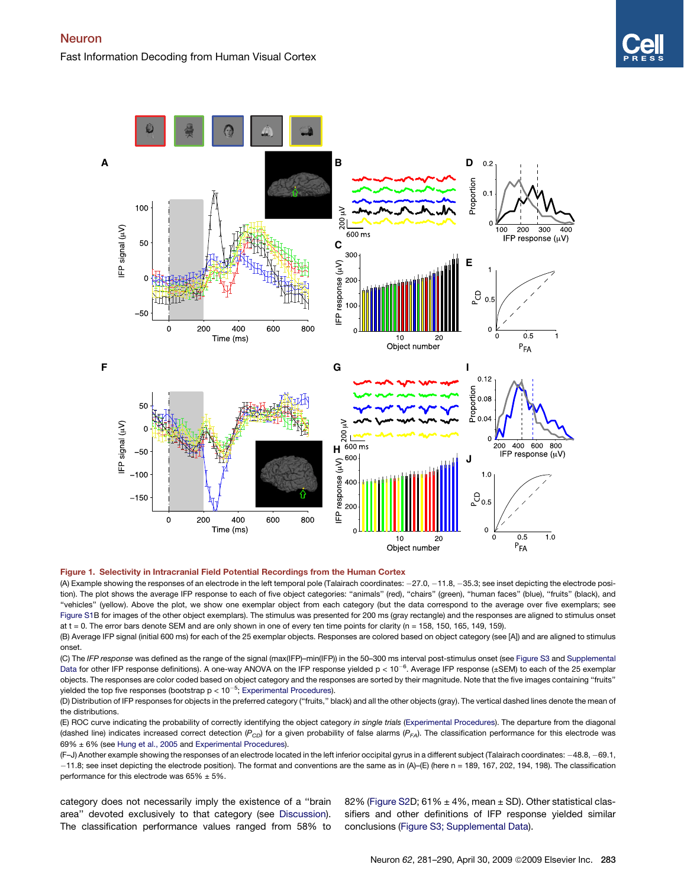<span id="page-2-0"></span>

### Figure 1. Selectivity in Intracranial Field Potential Recordings from the Human Cortex

(A) Example showing the responses of an electrode in the left temporal pole (Talairach coordinates: -27.0, -11.8, -35.3; see inset depicting the electrode position). The plot shows the average IFP response to each of five object categories: "animals" (red), "chairs" (green), "human faces" (blue), "fruits" (black), and ''vehicles'' (yellow). Above the plot, we show one exemplar object from each category (but the data correspond to the average over five exemplars; see [Figure S1B](#page-8-0) for images of the other object exemplars). The stimulus was presented for 200 ms (gray rectangle) and the responses are aligned to stimulus onset at  $t = 0$ . The error bars denote SEM and are only shown in one of every ten time points for clarity (n = 158, 150, 165, 149, 159).

(B) Average IFP signal (initial 600 ms) for each of the 25 exemplar objects. Responses are colored based on object category (see [A]) and are aligned to stimulus onset.

(C) The *IFP response* was defined as the range of the signal (max(IFP)–min(IFP)) in the 50–300 ms interval post-stimulus onset (see [Figure S3](#page-8-0) and [Supplemental](#page-8-0) [Data](#page-8-0) for other IFP response definitions). A one-way ANOVA on the IFP response yielded  $p < 10^{-6}$ . Average IFP response (±SEM) to each of the 25 exemplar objects. The responses are color coded based on object category and the responses are sorted by their magnitude. Note that the five images containing ''fruits'' yielded the top five responses (bootstrap  $p < 10^{-5}$ ; [Experimental Procedures](#page-7-0)).

(D) Distribution of IFP responses for objects in the preferred category (''fruits,'' black) and all the other objects (gray). The vertical dashed lines denote the mean of the distributions.

(E) ROC curve indicating the probability of correctly identifying the object category *in single trials* ([Experimental Procedures\)](#page-7-0). The departure from the diagonal (dashed line) indicates increased correct detection  $(P_{CD})$  for a given probability of false alarms  $(P_{FA})$ . The classification performance for this electrode was 69% ± 6% (see [Hung et al., 2005](#page-9-0) and [Experimental Procedures](#page-7-0)).

(F–J) Another example showing the responses of an electrode located in the left inferior occipital gyrus in a different subject (Talairach coordinates: 48.8, 69.1, 11.8; see inset depicting the electrode position). The format and conventions are the same as in (A)–(E) (here n = 189, 167, 202, 194, 198). The classification performance for this electrode was  $65\% \pm 5\%$ .

category does not necessarily imply the existence of a ''brain area'' devoted exclusively to that category (see [Discussion\)](#page-5-0). The classification performance values ranged from 58% to

82% [\(Figure S2D](#page-8-0); 61%  $\pm$  4%, mean  $\pm$  SD). Other statistical classifiers and other definitions of IFP response yielded similar conclusions ([Figure S3; Supplemental Data](#page-8-0)).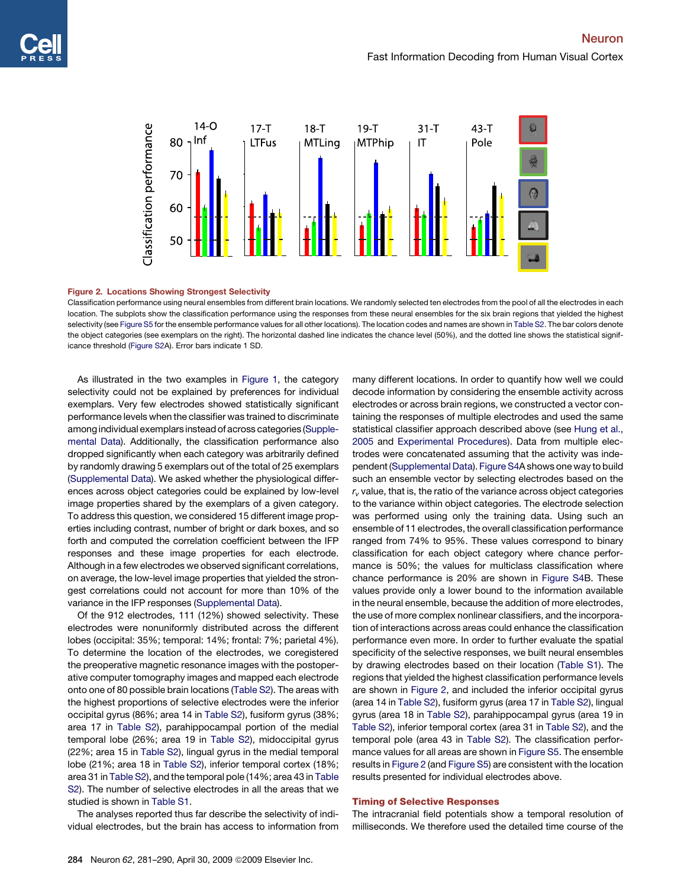<span id="page-3-0"></span>

### Figure 2. Locations Showing Strongest Selectivity

Classification performance using neural ensembles from different brain locations. We randomly selected ten electrodes from the pool of all the electrodes in each location. The subplots show the classification performance using the responses from these neural ensembles for the six brain regions that yielded the highest selectivity (see [Figure S5](#page-8-0) for the ensemble performance values for all other locations). The location codes and names are shown in [Table S2](#page-8-0). The bar colors denote the object categories (see exemplars on the right). The horizontal dashed line indicates the chance level (50%), and the dotted line shows the statistical significance threshold [\(Figure S2](#page-8-0)A). Error bars indicate 1 SD.

As illustrated in the two examples in [Figure 1,](#page-2-0) the category selectivity could not be explained by preferences for individual exemplars. Very few electrodes showed statistically significant performance levels when the classifier was trained to discriminate among individual exemplars instead of across categories [\(Supple](#page-8-0)[mental Data](#page-8-0)). Additionally, the classification performance also dropped significantly when each category was arbitrarily defined by randomly drawing 5 exemplars out of the total of 25 exemplars ([Supplemental Data](#page-8-0)). We asked whether the physiological differences across object categories could be explained by low-level image properties shared by the exemplars of a given category. To address this question, we considered 15 different image properties including contrast, number of bright or dark boxes, and so forth and computed the correlation coefficient between the IFP responses and these image properties for each electrode. Although in a few electrodes we observed significant correlations, on average, the low-level image properties that yielded the strongest correlations could not account for more than 10% of the variance in the IFP responses [\(Supplemental Data](#page-8-0)).

Of the 912 electrodes, 111 (12%) showed selectivity. These electrodes were nonuniformly distributed across the different lobes (occipital: 35%; temporal: 14%; frontal: 7%; parietal 4%). To determine the location of the electrodes, we coregistered the preoperative magnetic resonance images with the postoperative computer tomography images and mapped each electrode onto one of 80 possible brain locations [\(Table S2\)](#page-8-0). The areas with the highest proportions of selective electrodes were the inferior occipital gyrus (86%; area 14 in [Table S2\)](#page-8-0), fusiform gyrus (38%; area 17 in [Table S2](#page-8-0)), parahippocampal portion of the medial temporal lobe (26%; area 19 in [Table S2](#page-8-0)), midoccipital gyrus (22%; area 15 in [Table S2\)](#page-8-0), lingual gyrus in the medial temporal lobe (21%; area 18 in [Table S2\)](#page-8-0), inferior temporal cortex (18%; area 31 in [Table S2](#page-8-0)), and the temporal pole (14%; area 43 in [Table](#page-8-0) [S2\)](#page-8-0). The number of selective electrodes in all the areas that we studied is shown in [Table S1.](#page-8-0)

The analyses reported thus far describe the selectivity of individual electrodes, but the brain has access to information from

many different locations. In order to quantify how well we could decode information by considering the ensemble activity across electrodes or across brain regions, we constructed a vector containing the responses of multiple electrodes and used the same statistical classifier approach described above (see [Hung et al.,](#page-9-0) [2005](#page-9-0) and [Experimental Procedures\)](#page-7-0). Data from multiple electrodes were concatenated assuming that the activity was independent ([Supplemental Data\)](#page-8-0). [Figure S4](#page-8-0)A shows one way to build such an ensemble vector by selecting electrodes based on the  $r<sub>v</sub>$  value, that is, the ratio of the variance across object categories to the variance within object categories. The electrode selection was performed using only the training data. Using such an ensemble of 11 electrodes, the overall classification performance ranged from 74% to 95%. These values correspond to binary classification for each object category where chance performance is 50%; the values for multiclass classification where chance performance is 20% are shown in [Figure S4](#page-8-0)B. These values provide only a lower bound to the information available in the neural ensemble, because the addition of more electrodes, the use of more complex nonlinear classifiers, and the incorporation of interactions across areas could enhance the classification performance even more. In order to further evaluate the spatial specificity of the selective responses, we built neural ensembles by drawing electrodes based on their location ([Table S1](#page-8-0)). The regions that yielded the highest classification performance levels are shown in Figure 2, and included the inferior occipital gyrus (area 14 in [Table S2](#page-8-0)), fusiform gyrus (area 17 in [Table S2](#page-8-0)), lingual gyrus (area 18 in [Table S2](#page-8-0)), parahippocampal gyrus (area 19 in [Table S2\)](#page-8-0), inferior temporal cortex (area 31 in [Table S2\)](#page-8-0), and the temporal pole (area 43 in [Table S2](#page-8-0)). The classification performance values for all areas are shown in [Figure S5](#page-8-0). The ensemble results in Figure 2 (and [Figure S5\)](#page-8-0) are consistent with the location results presented for individual electrodes above.

### Timing of Selective Responses

The intracranial field potentials show a temporal resolution of milliseconds. We therefore used the detailed time course of the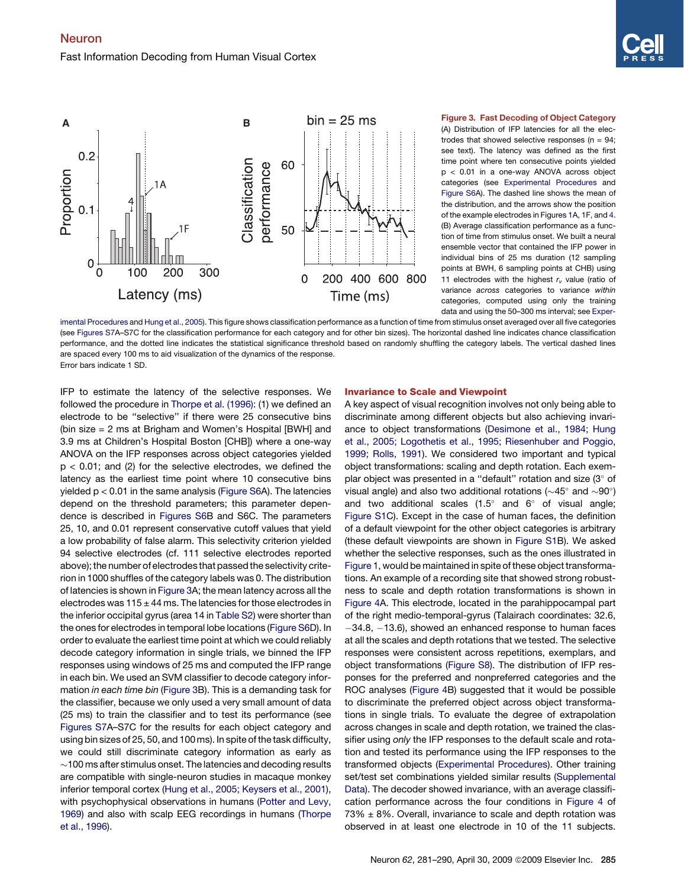<span id="page-4-0"></span>

## (A) Distribution of IFP latencies for all the electrodes that showed selective responses ( $n = 94$ ; see text). The latency was defined as the first

time point where ten consecutive points yielded p < 0.01 in a one-way ANOVA across object categories (see [Experimental Procedures](#page-7-0) and [Figure S6A](#page-8-0)). The dashed line shows the mean of the distribution, and the arrows show the position of the example electrodes in Figures [1](#page-2-0)A, 1F, and [4](#page-5-0). (B) Average classification performance as a function of time from stimulus onset. We built a neural ensemble vector that contained the IFP power in individual bins of 25 ms duration (12 sampling points at BWH, 6 sampling points at CHB) using 11 electrodes with the highest  $r_v$  value (ratio of variance *across* categories to variance *within* categories, computed using only the training data and using the 50–300 ms interval; see [Exper-](#page-7-0)

[imental Procedures](#page-7-0) and [Hung et al., 2005\)](#page-9-0). This figure shows classification performance as a function of time from stimulus onset averaged over all five categories (see [Figures S7](#page-8-0)A–S7C for the classification performance for each category and for other bin sizes). The horizontal dashed line indicates chance classification performance, and the dotted line indicates the statistical significance threshold based on randomly shuffling the category labels. The vertical dashed lines are spaced every 100 ms to aid visualization of the dynamics of the response. Error bars indicate 1 SD.

IFP to estimate the latency of the selective responses. We followed the procedure in [Thorpe et al. \(1996\)](#page-9-0): (1) we defined an electrode to be ''selective'' if there were 25 consecutive bins (bin size = 2 ms at Brigham and Women's Hospital [BWH] and 3.9 ms at Children's Hospital Boston [CHB]) where a one-way ANOVA on the IFP responses across object categories yielded  $p < 0.01$ ; and (2) for the selective electrodes, we defined the latency as the earliest time point where 10 consecutive bins yielded p < 0.01 in the same analysis ([Figure S6](#page-8-0)A). The latencies depend on the threshold parameters; this parameter dependence is described in [Figures S6](#page-8-0)B and S6C. The parameters 25, 10, and 0.01 represent conservative cutoff values that yield a low probability of false alarm. This selectivity criterion yielded 94 selective electrodes (cf. 111 selective electrodes reported above); the number of electrodes that passed the selectivity criterion in 1000 shuffles of the category labels was 0. The distribution of latencies is shown in Figure 3A; the mean latency across all the electrodes was  $115 \pm 44$  ms. The latencies for those electrodes in the inferior occipital gyrus (area 14 in [Table S2](#page-8-0)) were shorter than the ones for electrodes in temporal lobe locations ([Figure S6](#page-8-0)D). In order to evaluate the earliest time point at which we could reliably decode category information in single trials, we binned the IFP responses using windows of 25 ms and computed the IFP range in each bin. We used an SVM classifier to decode category information *in each time bin* (Figure 3B). This is a demanding task for the classifier, because we only used a very small amount of data (25 ms) to train the classifier and to test its performance (see [Figures S7](#page-8-0)A–S7C for the results for each object category and using bin sizes of 25, 50, and 100 ms). In spite of the task difficulty, we could still discriminate category information as early as  $\sim$ 100 ms after stimulus onset. The latencies and decoding results are compatible with single-neuron studies in macaque monkey inferior temporal cortex [\(Hung et al., 2005; Keysers et al., 2001\)](#page-9-0), with psychophysical observations in humans [\(Potter and Levy,](#page-9-0) [1969\)](#page-9-0) and also with scalp EEG recordings in humans [\(Thorpe](#page-9-0) [et al., 1996](#page-9-0)).

### Invariance to Scale and Viewpoint

A key aspect of visual recognition involves not only being able to discriminate among different objects but also achieving invariance to object transformations [\(Desimone et al., 1984; Hung](#page-9-0) [et al., 2005; Logothetis et al., 1995; Riesenhuber and Poggio,](#page-9-0) [1999; Rolls, 1991](#page-9-0)). We considered two important and typical object transformations: scaling and depth rotation. Each exemplar object was presented in a "default" rotation and size  $(3^{\circ}$  of visual angle) and also two additional rotations ( $\sim$ 45 $^{\circ}$  and  $\sim$ 90 $^{\circ}$ ) and two additional scales  $(1.5^{\circ}$  and  $6^{\circ}$  of visual angle; [Figure S1C](#page-8-0)). Except in the case of human faces, the definition of a default viewpoint for the other object categories is arbitrary (these default viewpoints are shown in [Figure S1B](#page-8-0)). We asked whether the selective responses, such as the ones illustrated in [Figure 1,](#page-2-0) would be maintained in spite of these object transformations. An example of a recording site that showed strong robustness to scale and depth rotation transformations is shown in [Figure 4](#page-5-0)A. This electrode, located in the parahippocampal part of the right medio-temporal-gyrus (Talairach coordinates: 32.6,  $-34.8, -13.6$ ), showed an enhanced response to human faces at all the scales and depth rotations that we tested. The selective responses were consistent across repetitions, exemplars, and object transformations [\(Figure S8](#page-8-0)). The distribution of IFP responses for the preferred and nonpreferred categories and the ROC analyses ([Figure 4B](#page-5-0)) suggested that it would be possible to discriminate the preferred object across object transformations in single trials. To evaluate the degree of extrapolation across changes in scale and depth rotation, we trained the classifier using *only* the IFP responses to the default scale and rotation and tested its performance using the IFP responses to the transformed objects ([Experimental Procedures](#page-7-0)). Other training set/test set combinations yielded similar results ([Supplemental](#page-8-0) [Data\)](#page-8-0). The decoder showed invariance, with an average classification performance across the four conditions in [Figure 4](#page-5-0) of  $73\% \pm 8\%$ . Overall, invariance to scale and depth rotation was observed in at least one electrode in 10 of the 11 subjects.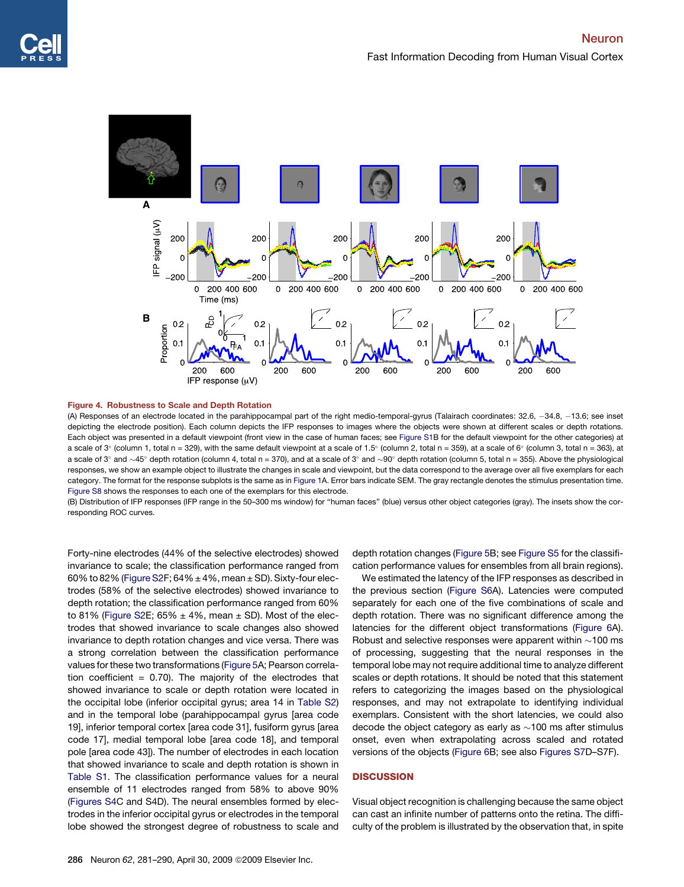<span id="page-5-0"></span>



(A) Responses of an electrode located in the parahippocampal part of the right medio-temporal-gyrus (Talairach coordinates: 32.6, -34.8, -13.6; see inset depicting the electrode position). Each column depicts the IFP responses to images where the objects were shown at different scales or depth rotations. Each object was presented in a default viewpoint (front view in the case of human faces; see [Figure S1](#page-8-0)B for the default viewpoint for the other categories) at a scale of 3° (column 1, total n = 329), with the same default viewpoint at a scale of 1.5° (column 2, total n = 359), at a scale of 6° (column 3, total n = 363), at a scale of 3° and  $\sim$ 45° depth rotation (column 4, total n = 370), and at a scale of 3° and  $\sim$ 90° depth rotation (column 5, total n = 355). Above the physiological responses, we show an example object to illustrate the changes in scale and viewpoint, but the data correspond to the average over all five exemplars for each category. The format for the response subplots is the same as in [Figure 1A](#page-2-0). Error bars indicate SEM. The gray rectangle denotes the stimulus presentation time. [Figure S8](#page-8-0) shows the responses to each one of the exemplars for this electrode.

(B) Distribution of IFP responses (IFP range in the 50–300 ms window) for ''human faces'' (blue) versus other object categories (gray). The insets show the corresponding ROC curves.

Forty-nine electrodes (44% of the selective electrodes) showed invariance to scale; the classification performance ranged from 60% to 82% [\(Figure S2](#page-8-0)F;  $64\% \pm 4\%$ , mean  $\pm$  SD). Sixty-four electrodes (58% of the selective electrodes) showed invariance to depth rotation; the classification performance ranged from 60% to 81% [\(Figure S2E](#page-8-0);  $65\% \pm 4\%$ , mean  $\pm$  SD). Most of the electrodes that showed invariance to scale changes also showed invariance to depth rotation changes and vice versa. There was a strong correlation between the classification performance values for these two transformations ([Figure 5](#page-6-0)A; Pearson correlation coefficient =  $0.70$ ). The majority of the electrodes that showed invariance to scale or depth rotation were located in the occipital lobe (inferior occipital gyrus; area 14 in [Table S2\)](#page-8-0) and in the temporal lobe (parahippocampal gyrus [area code 19], inferior temporal cortex [area code 31], fusiform gyrus [area code 17], medial temporal lobe [area code 18], and temporal pole [area code 43]). The number of electrodes in each location that showed invariance to scale and depth rotation is shown in [Table S1.](#page-8-0) The classification performance values for a neural ensemble of 11 electrodes ranged from 58% to above 90% ([Figures S4C](#page-8-0) and S4D). The neural ensembles formed by electrodes in the inferior occipital gyrus or electrodes in the temporal lobe showed the strongest degree of robustness to scale and

depth rotation changes ([Figure 5](#page-6-0)B; see [Figure S5](#page-8-0) for the classification performance values for ensembles from all brain regions).

We estimated the latency of the IFP responses as described in the previous section ([Figure S6](#page-8-0)A). Latencies were computed separately for each one of the five combinations of scale and depth rotation. There was no significant difference among the latencies for the different object transformations [\(Figure 6A](#page-6-0)). Robust and selective responses were apparent within  $\sim$ 100 ms of processing, suggesting that the neural responses in the temporal lobe may not require additional time to analyze different scales or depth rotations. It should be noted that this statement refers to categorizing the images based on the physiological responses, and may not extrapolate to identifying individual exemplars. Consistent with the short latencies, we could also decode the object category as early as  $\sim$ 100 ms after stimulus onset, even when extrapolating across scaled and rotated versions of the objects [\(Figure 6B](#page-6-0); see also [Figures S7](#page-8-0)D–S7F).

### **DISCUSSION**

Visual object recognition is challenging because the same object can cast an infinite number of patterns onto the retina. The difficulty of the problem is illustrated by the observation that, in spite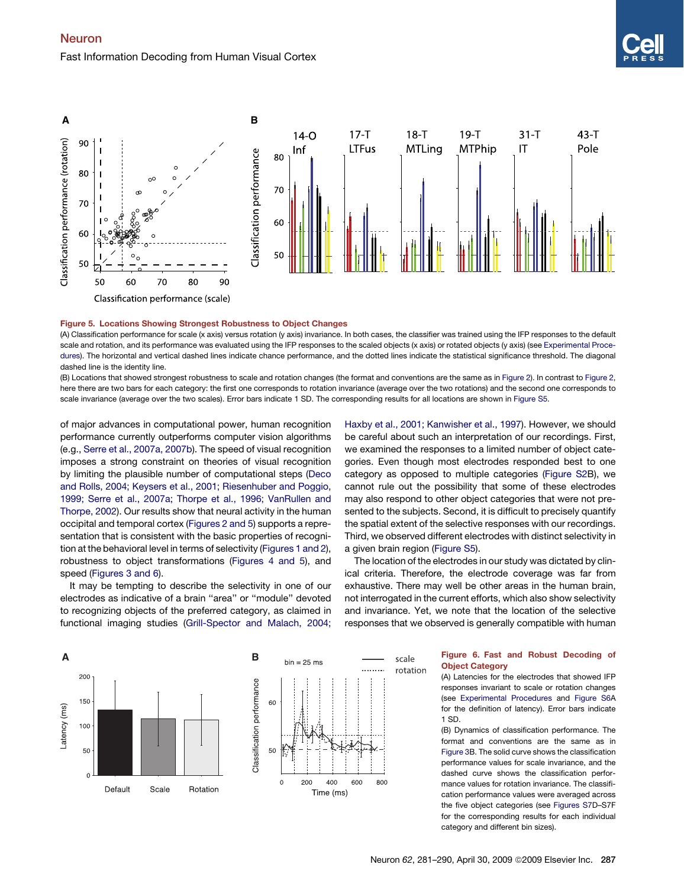### <span id="page-6-0"></span>Neuron Fast Information Decoding from Human Visual Cortex



### Figure 5. Locations Showing Strongest Robustness to Object Changes

(A) Classification performance for scale (x axis) versus rotation (y axis) invariance. In both cases, the classifier was trained using the IFP responses to the default scale and rotation, and its performance was evaluated using the IFP responses to the scaled objects (x axis) or rotated objects (y axis) (see [Experimental Proce](#page-7-0)[dures\)](#page-7-0). The horizontal and vertical dashed lines indicate chance performance, and the dotted lines indicate the statistical significance threshold. The diagonal dashed line is the identity line.

(B) Locations that showed strongest robustness to scale and rotation changes (the format and conventions are the same as in [Figure 2](#page-3-0)). In contrast to [Figure 2](#page-3-0), here there are two bars for each category: the first one corresponds to rotation invariance (average over the two rotations) and the second one corresponds to scale invariance (average over the two scales). Error bars indicate 1 SD. The corresponding results for all locations are shown in [Figure S5.](#page-8-0)

of major advances in computational power, human recognition performance currently outperforms computer vision algorithms (e.g., [Serre et al., 2007a, 2007b\)](#page-9-0). The speed of visual recognition imposes a strong constraint on theories of visual recognition by limiting the plausible number of computational steps [\(Deco](#page-9-0) [and Rolls, 2004; Keysers et al., 2001; Riesenhuber and Poggio,](#page-9-0) [1999; Serre et al., 2007a; Thorpe et al., 1996; VanRullen and](#page-9-0) [Thorpe, 2002\)](#page-9-0). Our results show that neural activity in the human occipital and temporal cortex [\(Figures 2 and 5](#page-3-0)) supports a representation that is consistent with the basic properties of recognition at the behavioral level in terms of selectivity [\(Figures 1 and 2\)](#page-2-0), robustness to object transformations ([Figures 4 and 5](#page-5-0)), and speed [\(Figures 3 and 6\)](#page-4-0).

It may be tempting to describe the selectivity in one of our electrodes as indicative of a brain ''area'' or ''module'' devoted to recognizing objects of the preferred category, as claimed in functional imaging studies [\(Grill-Spector and Malach, 2004;](#page-9-0) [Haxby et al., 2001; Kanwisher et al., 1997\)](#page-9-0). However, we should be careful about such an interpretation of our recordings. First, we examined the responses to a limited number of object categories. Even though most electrodes responded best to one category as opposed to multiple categories ([Figure S2](#page-8-0)B), we cannot rule out the possibility that some of these electrodes may also respond to other object categories that were not presented to the subjects. Second, it is difficult to precisely quantify the spatial extent of the selective responses with our recordings. Third, we observed different electrodes with distinct selectivity in a given brain region [\(Figure S5](#page-8-0)).

The location of the electrodes in our study was dictated by clinical criteria. Therefore, the electrode coverage was far from exhaustive. There may well be other areas in the human brain, not interrogated in the current efforts, which also show selectivity and invariance. Yet, we note that the location of the selective responses that we observed is generally compatible with human



## Object Category

(A) Latencies for the electrodes that showed IFP responses invariant to scale or rotation changes (see [Experimental Procedures](#page-7-0) and [Figure S6A](#page-8-0) for the definition of latency). Error bars indicate 1 SD.

(B) Dynamics of classification performance. The format and conventions are the same as in [Figure 3](#page-4-0)B. The solid curve shows the classification performance values for scale invariance, and the dashed curve shows the classification performance values for rotation invariance. The classification performance values were averaged across the five object categories (see [Figures S7](#page-8-0)D–S7F for the corresponding results for each individual category and different bin sizes).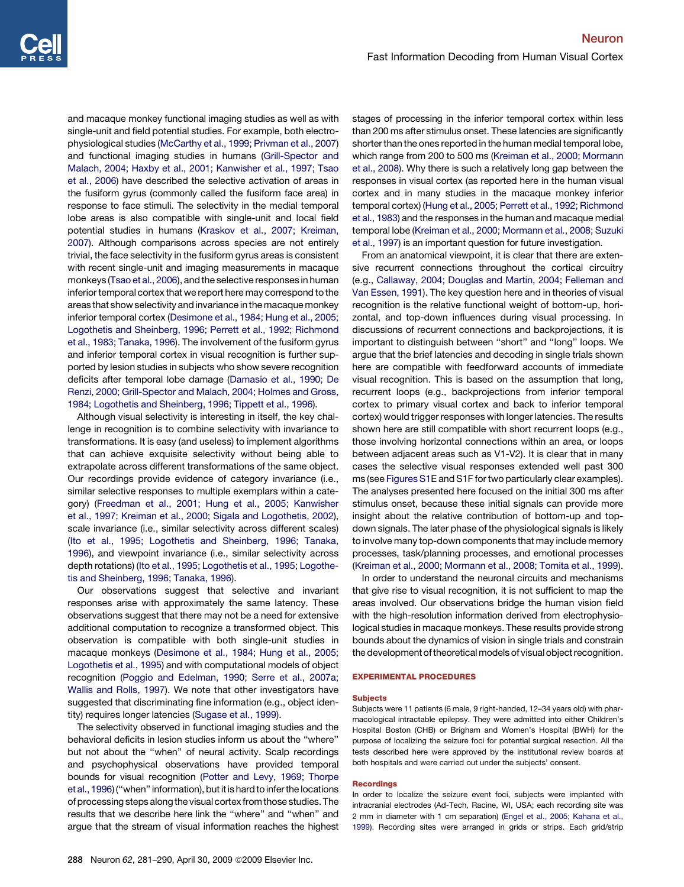<span id="page-7-0"></span>and macaque monkey functional imaging studies as well as with single-unit and field potential studies. For example, both electrophysiological studies [\(McCarthy et al., 1999; Privman et al., 2007\)](#page-9-0) and functional imaging studies in humans ([Grill-Spector and](#page-9-0) [Malach, 2004; Haxby et al., 2001; Kanwisher et al., 1997; Tsao](#page-9-0) [et al., 2006](#page-9-0)) have described the selective activation of areas in the fusiform gyrus (commonly called the fusiform face area) in response to face stimuli. The selectivity in the medial temporal lobe areas is also compatible with single-unit and local field potential studies in humans ([Kraskov et al., 2007; Kreiman,](#page-9-0) [2007](#page-9-0)). Although comparisons across species are not entirely trivial, the face selectivity in the fusiform gyrus areas is consistent with recent single-unit and imaging measurements in macaque monkeys [\(Tsao et al., 2006](#page-9-0)), and the selective responses in human inferior temporal cortex that we report here may correspond to the areas that show selectivity and invariance in the macaque monkey inferior temporal cortex [\(Desimone et al., 1984; Hung et al., 2005;](#page-9-0) [Logothetis and Sheinberg, 1996; Perrett et al., 1992; Richmond](#page-9-0) [et al., 1983; Tanaka, 1996](#page-9-0)). The involvement of the fusiform gyrus and inferior temporal cortex in visual recognition is further supported by lesion studies in subjects who show severe recognition deficits after temporal lobe damage ([Damasio et al., 1990; De](#page-8-0) [Renzi, 2000; Grill-Spector and Malach, 2004; Holmes and Gross,](#page-8-0) [1984; Logothetis and Sheinberg, 1996; Tippett et al., 1996\)](#page-8-0).

Although visual selectivity is interesting in itself, the key challenge in recognition is to combine selectivity with invariance to transformations. It is easy (and useless) to implement algorithms that can achieve exquisite selectivity without being able to extrapolate across different transformations of the same object. Our recordings provide evidence of category invariance (i.e., similar selective responses to multiple exemplars within a category) [\(Freedman et al., 2001; Hung et al., 2005; Kanwisher](#page-9-0) [et al., 1997; Kreiman et al., 2000; Sigala and Logothetis, 2002](#page-9-0)), scale invariance (i.e., similar selectivity across different scales) ([Ito et al., 1995; Logothetis and Sheinberg, 1996; Tanaka,](#page-9-0) [1996](#page-9-0)), and viewpoint invariance (i.e., similar selectivity across depth rotations) ([Ito et al., 1995; Logothetis et al., 1995; Logothe](#page-9-0)[tis and Sheinberg, 1996; Tanaka, 1996](#page-9-0)).

Our observations suggest that selective and invariant responses arise with approximately the same latency. These observations suggest that there may not be a need for extensive additional computation to recognize a transformed object. This observation is compatible with both single-unit studies in macaque monkeys [\(Desimone et al., 1984; Hung et al., 2005;](#page-9-0) [Logothetis et al., 1995\)](#page-9-0) and with computational models of object recognition [\(Poggio and Edelman, 1990; Serre et al., 2007a;](#page-9-0) [Wallis and Rolls, 1997\)](#page-9-0). We note that other investigators have suggested that discriminating fine information (e.g., object identity) requires longer latencies ([Sugase et al., 1999\)](#page-9-0).

The selectivity observed in functional imaging studies and the behavioral deficits in lesion studies inform us about the ''where'' but not about the ''when'' of neural activity. Scalp recordings and psychophysical observations have provided temporal bounds for visual recognition ([Potter and Levy, 1969; Thorpe](#page-9-0) et al., 1996) ("when" information), but it is hard to infer the locations of processing steps along the visual cortex from those studies. The results that we describe here link the ''where'' and ''when'' and argue that the stream of visual information reaches the highest

stages of processing in the inferior temporal cortex within less than 200 ms after stimulus onset. These latencies are significantly shorter than the ones reported in the human medial temporal lobe, which range from 200 to 500 ms [\(Kreiman et al., 2000; Mormann](#page-9-0) [et al., 2008\)](#page-9-0). Why there is such a relatively long gap between the responses in visual cortex (as reported here in the human visual cortex and in many studies in the macaque monkey inferior temporal cortex) [\(Hung et al., 2005; Perrett et al., 1992; Richmond](#page-9-0) [et al., 1983\)](#page-9-0) and the responses in the human and macaque medial temporal lobe ([Kreiman et al., 2000; Mormann et al., 2008; Suzuki](#page-9-0) [et al., 1997\)](#page-9-0) is an important question for future investigation.

From an anatomical viewpoint, it is clear that there are extensive recurrent connections throughout the cortical circuitry (e.g., [Callaway, 2004; Douglas and Martin, 2004; Felleman and](#page-8-0) [Van Essen, 1991\)](#page-8-0). The key question here and in theories of visual recognition is the relative functional weight of bottom-up, horizontal, and top-down influences during visual processing. In discussions of recurrent connections and backprojections, it is important to distinguish between ''short'' and ''long'' loops. We argue that the brief latencies and decoding in single trials shown here are compatible with feedforward accounts of immediate visual recognition. This is based on the assumption that long, recurrent loops (e.g., backprojections from inferior temporal cortex to primary visual cortex and back to inferior temporal cortex) would trigger responses with longer latencies. The results shown here are still compatible with short recurrent loops (e.g., those involving horizontal connections within an area, or loops between adjacent areas such as V1-V2). It is clear that in many cases the selective visual responses extended well past 300 ms (see [Figures S1](#page-8-0)E and S1F for two particularly clear examples). The analyses presented here focused on the initial 300 ms after stimulus onset, because these initial signals can provide more insight about the relative contribution of bottom-up and topdown signals. The later phase of the physiological signals is likely to involve many top-down components that may include memory processes, task/planning processes, and emotional processes [\(Kreiman et al., 2000; Mormann et al., 2008; Tomita et al., 1999](#page-9-0)).

In order to understand the neuronal circuits and mechanisms that give rise to visual recognition, it is not sufficient to map the areas involved. Our observations bridge the human vision field with the high-resolution information derived from electrophysiological studies in macaque monkeys. These results provide strong bounds about the dynamics of vision in single trials and constrain the development of theoretical models of visual object recognition.

### EXPERIMENTAL PROCEDURES

### **Subjects**

Subjects were 11 patients (6 male, 9 right-handed, 12–34 years old) with pharmacological intractable epilepsy. They were admitted into either Children's Hospital Boston (CHB) or Brigham and Women's Hospital (BWH) for the purpose of localizing the seizure foci for potential surgical resection. All the tests described here were approved by the institutional review boards at both hospitals and were carried out under the subjects' consent.

### **Recordings**

In order to localize the seizure event foci, subjects were implanted with intracranial electrodes (Ad-Tech, Racine, WI, USA; each recording site was 2 mm in diameter with 1 cm separation) [\(Engel et al., 2005; Kahana et al.,](#page-9-0) [1999](#page-9-0)). Recording sites were arranged in grids or strips. Each grid/strip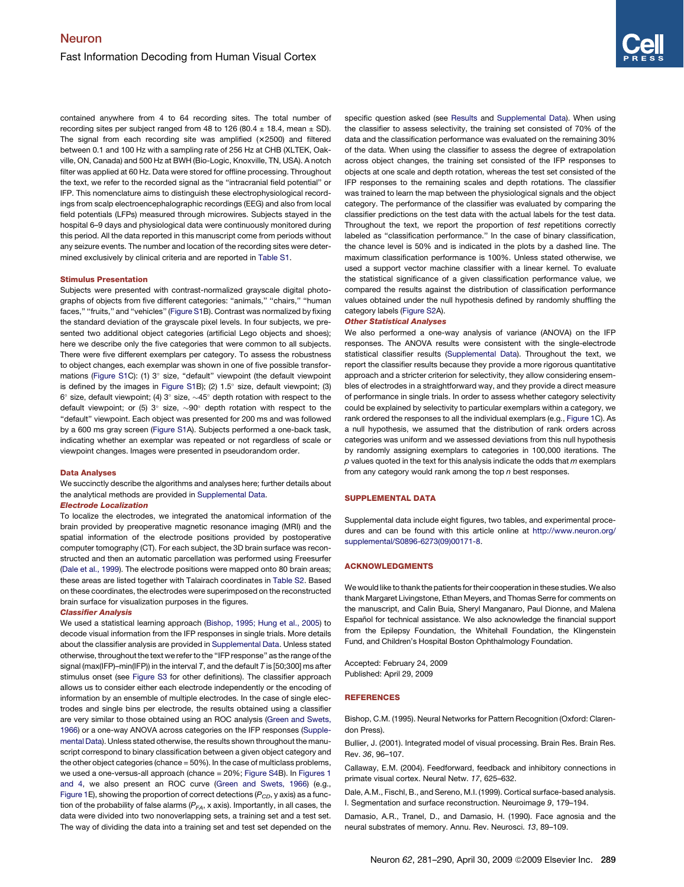<span id="page-8-0"></span>contained anywhere from 4 to 64 recording sites. The total number of recording sites per subject ranged from 48 to 126 (80.4  $\pm$  18.4, mean  $\pm$  SD). The signal from each recording site was amplified  $(x2500)$  and filtered between 0.1 and 100 Hz with a sampling rate of 256 Hz at CHB (XLTEK, Oakville, ON, Canada) and 500 Hz at BWH (Bio-Logic, Knoxville, TN, USA). A notch filter was applied at 60 Hz. Data were stored for offline processing. Throughout the text, we refer to the recorded signal as the ''intracranial field potential'' or IFP. This nomenclature aims to distinguish these electrophysiological recordings from scalp electroencephalographic recordings (EEG) and also from local field potentials (LFPs) measured through microwires. Subjects stayed in the hospital 6–9 days and physiological data were continuously monitored during this period. All the data reported in this manuscript come from periods without any seizure events. The number and location of the recording sites were determined exclusively by clinical criteria and are reported in Table S1.

#### Stimulus Presentation

Subjects were presented with contrast-normalized grayscale digital photographs of objects from five different categories: "animals," "chairs," "human faces,'' ''fruits,'' and ''vehicles'' (Figure S1B). Contrast was normalized by fixing the standard deviation of the grayscale pixel levels. In four subjects, we presented two additional object categories (artificial Lego objects and shoes); here we describe only the five categories that were common to all subjects. There were five different exemplars per category. To assess the robustness to object changes, each exemplar was shown in one of five possible transformations (Figure S1C): (1) 3° size, "default" viewpoint (the default viewpoint is defined by the images in Figure S1B); (2)  $1.5^{\circ}$  size, default viewpoint; (3) 6° size, default viewpoint; (4) 3° size,  $\sim$ 45° depth rotation with respect to the default viewpoint; or (5) 3° size,  $\sim 90^\circ$  depth rotation with respect to the "default" viewpoint. Each object was presented for 200 ms and was followed by a 600 ms gray screen (Figure S1A). Subjects performed a one-back task, indicating whether an exemplar was repeated or not regardless of scale or viewpoint changes. Images were presented in pseudorandom order.

### Data Analyses

We succinctly describe the algorithms and analyses here; further details about the analytical methods are provided in Supplemental Data.

### Electrode Localization

To localize the electrodes, we integrated the anatomical information of the brain provided by preoperative magnetic resonance imaging (MRI) and the spatial information of the electrode positions provided by postoperative computer tomography (CT). For each subject, the 3D brain surface was reconstructed and then an automatic parcellation was performed using Freesurfer (Dale et al., 1999). The electrode positions were mapped onto 80 brain areas; these areas are listed together with Talairach coordinates in Table S2. Based on these coordinates, the electrodes were superimposed on the reconstructed brain surface for visualization purposes in the figures.

### Classifier Analysis

We used a statistical learning approach (Bishop, 1995; Hung et al., 2005) to decode visual information from the IFP responses in single trials. More details about the classifier analysis are provided in Supplemental Data. Unless stated otherwise, throughout the text we refer to the ''IFP response'' as the range of the signal (max(IFP)–min(IFP)) in the interval *T*, and the default *T* is [50;300] ms after stimulus onset (see Figure S3 for other definitions). The classifier approach allows us to consider either each electrode independently or the encoding of information by an ensemble of multiple electrodes. In the case of single electrodes and single bins per electrode, the results obtained using a classifier are very similar to those obtained using an ROC analysis ([Green and Swets,](#page-9-0) [1966\)](#page-9-0) or a one-way ANOVA across categories on the IFP responses (Supplemental Data). Unless stated otherwise, the results shown throughout the manuscript correspond to binary classification between a given object category and the other object categories (chance = 50%). In the case of multiclass problems, we used a one-versus-all approach (chance = 20%; Figure S4B). In [Figures 1](#page-2-0) [and 4,](#page-2-0) we also present an ROC curve ([Green and Swets, 1966\)](#page-9-0) (e.g., [Figure 1E](#page-2-0)), showing the proportion of correct detections ( $P_{CD}$ , y axis) as a function of the probability of false alarms  $(P<sub>FA</sub>, x axis)$ . Importantly, in all cases, the data were divided into two nonoverlapping sets, a training set and a test set. The way of dividing the data into a training set and test set depended on the specific question asked (see [Results](#page-1-0) and Supplemental Data). When using the classifier to assess selectivity, the training set consisted of 70% of the data and the classification performance was evaluated on the remaining 30% of the data. When using the classifier to assess the degree of extrapolation across object changes, the training set consisted of the IFP responses to objects at one scale and depth rotation, whereas the test set consisted of the IFP responses to the remaining scales and depth rotations. The classifier was trained to learn the map between the physiological signals and the object category. The performance of the classifier was evaluated by comparing the classifier predictions on the test data with the actual labels for the test data. Throughout the text, we report the proportion of *test* repetitions correctly labeled as ''classification performance.'' In the case of binary classification, the chance level is 50% and is indicated in the plots by a dashed line. The maximum classification performance is 100%. Unless stated otherwise, we used a support vector machine classifier with a linear kernel. To evaluate the statistical significance of a given classification performance value, we compared the results against the distribution of classification performance values obtained under the null hypothesis defined by randomly shuffling the

### category labels (Figure S2A). Other Statistical Analyses

We also performed a one-way analysis of variance (ANOVA) on the IFP responses. The ANOVA results were consistent with the single-electrode statistical classifier results (Supplemental Data). Throughout the text, we report the classifier results because they provide a more rigorous quantitative approach and a stricter criterion for selectivity, they allow considering ensembles of electrodes in a straightforward way, and they provide a direct measure of performance in single trials. In order to assess whether category selectivity could be explained by selectivity to particular exemplars within a category, we rank ordered the responses to all the individual exemplars (e.g., [Figure 1C](#page-2-0)). As a null hypothesis, we assumed that the distribution of rank orders across categories was uniform and we assessed deviations from this null hypothesis by randomly assigning exemplars to categories in 100,000 iterations. The *p* values quoted in the text for this analysis indicate the odds that *m* exemplars from any category would rank among the top *n* best responses.

### SUPPLEMENTAL DATA

Supplemental data include eight figures, two tables, and experimental procedures and can be found with this article online at [http://www.neuron.org/](http://www.neuron.org/supplemental/S0896-6273(09)00171-8) [supplemental/S0896-6273\(09\)00171-8.](http://www.neuron.org/supplemental/S0896-6273(09)00171-8)

### ACKNOWLEDGMENTS

We would like to thank the patients for their cooperation in these studies. We also thank Margaret Livingstone, Ethan Meyers, and Thomas Serre for comments on the manuscript, and Calin Buia, Sheryl Manganaro, Paul Dionne, and Malena Español for technical assistance. We also acknowledge the financial support from the Epilepsy Foundation, the Whitehall Foundation, the Klingenstein Fund, and Children's Hospital Boston Ophthalmology Foundation.

Accepted: February 24, 2009 Published: April 29, 2009

### **REFERENCES**

Bishop, C.M. (1995). Neural Networks for Pattern Recognition (Oxford: Clarendon Press).

Bullier, J. (2001). Integrated model of visual processing. Brain Res. Brain Res. Rev. *36*, 96–107.

Callaway, E.M. (2004). Feedforward, feedback and inhibitory connections in primate visual cortex. Neural Netw. *17*, 625–632.

Dale, A.M., Fischl, B., and Sereno, M.I. (1999). Cortical surface-based analysis. I. Segmentation and surface reconstruction. Neuroimage *9*, 179–194.

Damasio, A.R., Tranel, D., and Damasio, H. (1990). Face agnosia and the neural substrates of memory. Annu. Rev. Neurosci. *13*, 89–109.